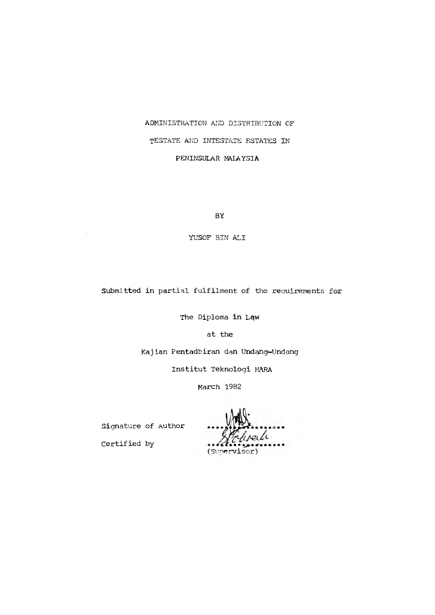# **ADMINISTRATION AND DISTRIBUTION OF TESTATE AND INTESTATE ESTATES IN PENINSULAR MALAYSIA**

**BY**

**YUSOF BIN ALI**

**Submitted in partial fulfilment of the requirements for**

**The Diploma in Lgw**

**at the**

**Kajian Pentadbiran dan Undang-Undana**

**Institut Teknologi MARA**

**March 1982**

**Signature of Author**

certified by **Execute (Supervisor)**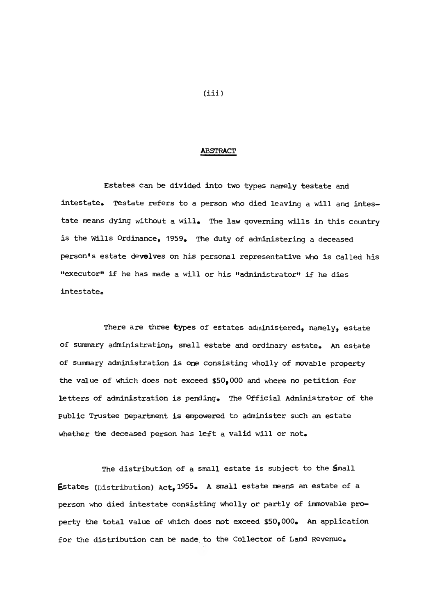#### **ABSTRACT**

**Estates can be divided into two types namely testate and intestate. Testate refers to a person who died leaving a will and intestate means dying without a will. The law governing wills in this country is the Wills Ordinance, 1959. The duty of administering a deceased person's estate devolves on his personal representative who is called his "executor" if he has made a will or his "administrator" if he dies intestateo**

**There are three types of estates administered, namely, estate of summary administration, small estate and ordinary estate. An estate of summary administration is one consisting wholly of movable property the value of which does not exceed \$50,000 and where no petition for letters of administration is pending. The Official Administrator of the public Trustee Department is empowered to administer such an estate whether the deceased person has left a valid will or not.**

**The distribution of a small estate is subject to the Small Estates (Distribution) Act,1955. A small estate means an estate of a person who died intestate consisting wholly or partly of immovable property the total value of which does not exceed \$50,000. An application for the distribution can be made, to the Collector of Land Revenue.**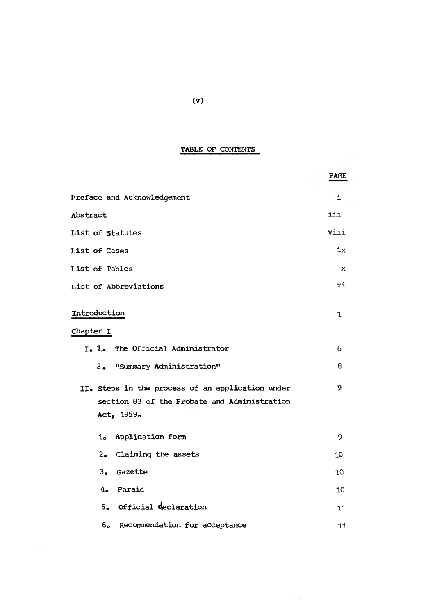# **TABLE OF CONTENTS**

| ---------                                                                                                      |             |  |  |
|----------------------------------------------------------------------------------------------------------------|-------------|--|--|
|                                                                                                                | <b>PAGE</b> |  |  |
| Preface and Acknowledgement                                                                                    | i           |  |  |
| Abstract                                                                                                       | iii         |  |  |
| List of Statutes                                                                                               | viii        |  |  |
| List of Cases                                                                                                  | ix          |  |  |
| List of Tables                                                                                                 | $\mathbf x$ |  |  |
| List of Abbreviations                                                                                          |             |  |  |
| Introduction<br>Chapter I                                                                                      |             |  |  |
| I. 1. The Official Administrator                                                                               |             |  |  |
| $2_{\bullet}$<br>"Summary Administration"                                                                      | 8           |  |  |
| II. Steps in the process of an application under<br>section 83 of the Probate and Administration<br>Act, 1959. | 9           |  |  |
| Application form<br>1 <sub>o</sub>                                                                             | 9           |  |  |
| 2. Claiming the assets                                                                                         | 10          |  |  |
| 3. Gazette                                                                                                     | 10          |  |  |
| 4. Faraid                                                                                                      | 10          |  |  |
| 5. Official declaration                                                                                        | 11          |  |  |
| Recommendation for acceptance<br>6.                                                                            | 11          |  |  |

 $\left(111,\frac{12}{2}\right)$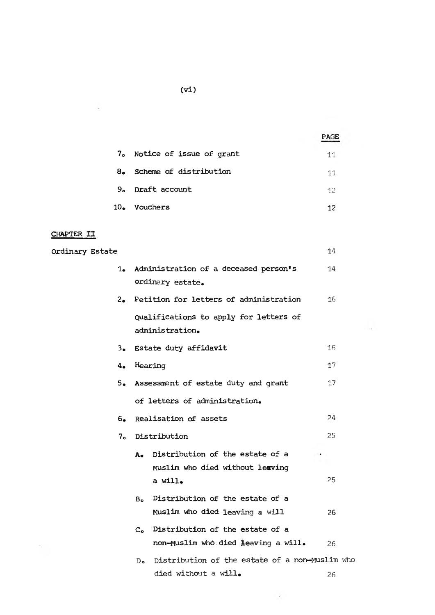|        |                             | <b>PAGE</b> |
|--------|-----------------------------|-------------|
|        | 7. Notice of issue of grant | 11          |
| 8a     | Scheme of distribution      | 11          |
| 9.     | Draft account               | 12          |
| $10 -$ | Vouchers                    | 12          |

 $\sim 1000$ 

# **CHAPTER II**

 $\sim$ 

| Ordinary Estate |                |                                                                           | 14 |
|-----------------|----------------|---------------------------------------------------------------------------|----|
| $1-$            |                | Administration of a deceased person's<br>ordinary estate.                 | 14 |
| $2_{\bullet}$   |                | Petition for letters of administration                                    | 16 |
|                 |                | Qualifications to apply for letters of<br>administration.                 |    |
| $3_{\bullet}$   |                | Estate duty affidavit                                                     | 16 |
| 4.              |                | Hearing                                                                   | 17 |
| 5.              |                | Assessment of estate duty and grant                                       | 17 |
|                 |                | of letters of administration.                                             |    |
| 6.              |                | Realisation of assets                                                     | 24 |
| 7 <sub>o</sub>  |                | Distribution                                                              | 25 |
|                 | А.             | Distribution of the estate of a<br>Muslim who died without leaving        |    |
|                 |                | a will.                                                                   | 25 |
|                 | $B_{\alpha}$   | Distribution of the estate of a<br>Muslim who died leaving a will         | 26 |
|                 |                | C. Distribution of the estate of a<br>non-Muslim who died leaving a will. | 26 |
|                 | D <sub>o</sub> | Distribution of the estate of a non-Muslim who<br>died without a will.    | 26 |

 $\mathcal{L}(\mathcal{Q})$  . The set of  $\mathcal{Q}(\mathcal{Q})$ 

**(Vi)**